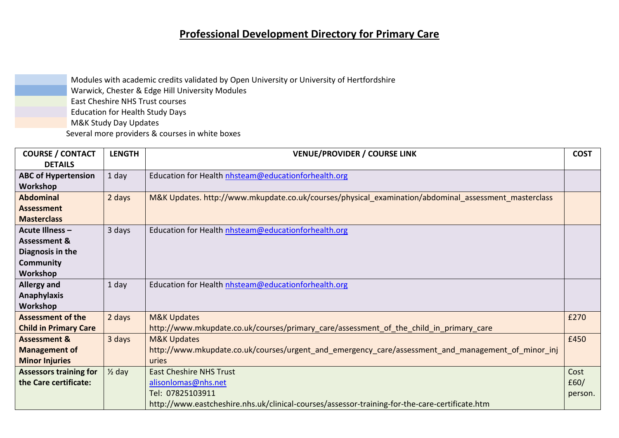## **Professional Development Directory for Primary Care**

Modules with academic credits validated by Open University or University of Hertfordshire Warwick, Chester & Edge Hill University Modules East Cheshire NHS Trust courses Education for Health Study Days M&K Study Day Updates Several more providers & courses in white boxes

| <b>COURSE / CONTACT</b>       | <b>LENGTH</b>     | <b>VENUE/PROVIDER / COURSE LINK</b>                                                                  | <b>COST</b> |
|-------------------------------|-------------------|------------------------------------------------------------------------------------------------------|-------------|
| <b>DETAILS</b>                |                   |                                                                                                      |             |
| <b>ABC of Hypertension</b>    | 1 day             | Education for Health nhsteam@educationforhealth.org                                                  |             |
| Workshop                      |                   |                                                                                                      |             |
| <b>Abdominal</b>              | 2 days            | M&K Updates. http://www.mkupdate.co.uk/courses/physical_examination/abdominal_assessment_masterclass |             |
| <b>Assessment</b>             |                   |                                                                                                      |             |
| <b>Masterclass</b>            |                   |                                                                                                      |             |
| <b>Acute Illness -</b>        | 3 days            | Education for Health nhsteam@educationforhealth.org                                                  |             |
| <b>Assessment &amp;</b>       |                   |                                                                                                      |             |
| Diagnosis in the              |                   |                                                                                                      |             |
| <b>Community</b>              |                   |                                                                                                      |             |
| Workshop                      |                   |                                                                                                      |             |
| Allergy and                   | 1 day             | Education for Health nhsteam@educationforhealth.org                                                  |             |
| <b>Anaphylaxis</b>            |                   |                                                                                                      |             |
| Workshop                      |                   |                                                                                                      |             |
| <b>Assessment of the</b>      | 2 days            | <b>M&amp;K Updates</b>                                                                               | £270        |
| <b>Child in Primary Care</b>  |                   | http://www.mkupdate.co.uk/courses/primary_care/assessment_of_the_child_in_primary_care               |             |
| <b>Assessment &amp;</b>       | 3 days            | <b>M&amp;K Updates</b>                                                                               | £450        |
| <b>Management of</b>          |                   | http://www.mkupdate.co.uk/courses/urgent_and_emergency_care/assessment_and_management_of_minor_inj   |             |
| <b>Minor Injuries</b>         |                   | uries                                                                                                |             |
| <b>Assessors training for</b> | $\frac{1}{2}$ day | <b>East Cheshire NHS Trust</b>                                                                       | Cost        |
| the Care certificate:         |                   | alisonlomas@nhs.net                                                                                  | £60/        |
|                               |                   | Tel: 07825103911                                                                                     | person.     |
|                               |                   | http://www.eastcheshire.nhs.uk/clinical-courses/assessor-training-for-the-care-certificate.htm       |             |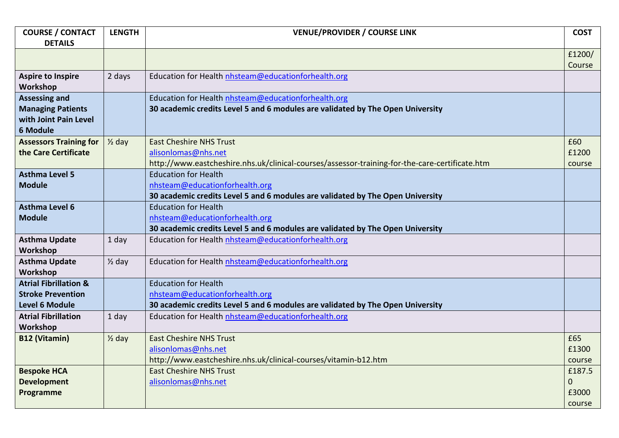| <b>COURSE / CONTACT</b>          | <b>LENGTH</b>     | <b>VENUE/PROVIDER / COURSE LINK</b>                                                            | <b>COST</b>    |
|----------------------------------|-------------------|------------------------------------------------------------------------------------------------|----------------|
| <b>DETAILS</b>                   |                   |                                                                                                |                |
|                                  |                   |                                                                                                | £1200/         |
|                                  |                   |                                                                                                | Course         |
| <b>Aspire to Inspire</b>         | 2 days            | Education for Health nhsteam@educationforhealth.org                                            |                |
| Workshop                         |                   |                                                                                                |                |
| <b>Assessing and</b>             |                   | Education for Health nhsteam@educationforhealth.org                                            |                |
| <b>Managing Patients</b>         |                   | 30 academic credits Level 5 and 6 modules are validated by The Open University                 |                |
| with Joint Pain Level            |                   |                                                                                                |                |
| 6 Module                         |                   |                                                                                                |                |
| <b>Assessors Training for</b>    | $\frac{1}{2}$ day | <b>East Cheshire NHS Trust</b>                                                                 | £60            |
| the Care Certificate             |                   | alisonlomas@nhs.net                                                                            | £1200          |
|                                  |                   | http://www.eastcheshire.nhs.uk/clinical-courses/assessor-training-for-the-care-certificate.htm | course         |
| <b>Asthma Level 5</b>            |                   | <b>Education for Health</b>                                                                    |                |
| <b>Module</b>                    |                   | nhsteam@educationforhealth.org                                                                 |                |
|                                  |                   | 30 academic credits Level 5 and 6 modules are validated by The Open University                 |                |
| <b>Asthma Level 6</b>            |                   | <b>Education for Health</b>                                                                    |                |
| <b>Module</b>                    |                   | nhsteam@educationforhealth.org                                                                 |                |
|                                  |                   | 30 academic credits Level 5 and 6 modules are validated by The Open University                 |                |
| <b>Asthma Update</b>             | 1 day             | Education for Health nhsteam@educationforhealth.org                                            |                |
| Workshop                         |                   |                                                                                                |                |
| <b>Asthma Update</b>             | $\frac{1}{2}$ day | Education for Health nhsteam@educationforhealth.org                                            |                |
| Workshop                         |                   |                                                                                                |                |
| <b>Atrial Fibrillation &amp;</b> |                   | <b>Education for Health</b>                                                                    |                |
| <b>Stroke Prevention</b>         |                   | nhsteam@educationforhealth.org                                                                 |                |
| <b>Level 6 Module</b>            |                   | 30 academic credits Level 5 and 6 modules are validated by The Open University                 |                |
| <b>Atrial Fibrillation</b>       | 1 day             | Education for Health nhsteam@educationforhealth.org                                            |                |
| Workshop                         |                   |                                                                                                |                |
| <b>B12 (Vitamin)</b>             | $\frac{1}{2}$ day | <b>East Cheshire NHS Trust</b>                                                                 | £65            |
|                                  |                   | alisonlomas@nhs.net                                                                            | £1300          |
|                                  |                   | http://www.eastcheshire.nhs.uk/clinical-courses/vitamin-b12.htm                                | course         |
| <b>Bespoke HCA</b>               |                   | <b>East Cheshire NHS Trust</b>                                                                 | £187.5         |
| <b>Development</b>               |                   | alisonlomas@nhs.net                                                                            | $\overline{0}$ |
| Programme                        |                   |                                                                                                | £3000          |
|                                  |                   |                                                                                                | course         |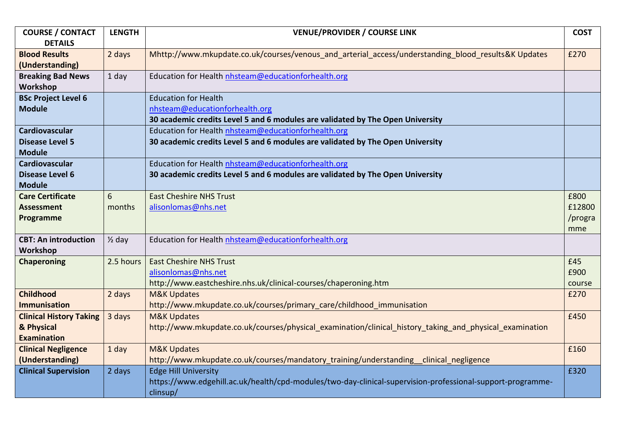| <b>COURSE / CONTACT</b>        | <b>LENGTH</b>     | <b>VENUE/PROVIDER / COURSE LINK</b>                                                                        | <b>COST</b> |
|--------------------------------|-------------------|------------------------------------------------------------------------------------------------------------|-------------|
| <b>DETAILS</b>                 |                   |                                                                                                            |             |
| <b>Blood Results</b>           | 2 days            | Mhttp://www.mkupdate.co.uk/courses/venous and arterial access/understanding blood results&K Updates        | £270        |
| (Understanding)                |                   |                                                                                                            |             |
| <b>Breaking Bad News</b>       | 1 day             | Education for Health nhsteam@educationforhealth.org                                                        |             |
| Workshop                       |                   |                                                                                                            |             |
| <b>BSc Project Level 6</b>     |                   | <b>Education for Health</b>                                                                                |             |
| <b>Module</b>                  |                   | nhsteam@educationforhealth.org                                                                             |             |
|                                |                   | 30 academic credits Level 5 and 6 modules are validated by The Open University                             |             |
| Cardiovascular                 |                   | Education for Health nhsteam@educationforhealth.org                                                        |             |
| <b>Disease Level 5</b>         |                   | 30 academic credits Level 5 and 6 modules are validated by The Open University                             |             |
| <b>Module</b>                  |                   |                                                                                                            |             |
| Cardiovascular                 |                   | Education for Health nhsteam@educationforhealth.org                                                        |             |
| <b>Disease Level 6</b>         |                   | 30 academic credits Level 5 and 6 modules are validated by The Open University                             |             |
| <b>Module</b>                  |                   |                                                                                                            |             |
| <b>Care Certificate</b>        | 6                 | <b>East Cheshire NHS Trust</b>                                                                             | £800        |
| <b>Assessment</b>              | months            | alisonlomas@nhs.net                                                                                        | £12800      |
| Programme                      |                   |                                                                                                            | /progra     |
|                                |                   |                                                                                                            | mme         |
| <b>CBT: An introduction</b>    | $\frac{1}{2}$ day | Education for Health nhsteam@educationforhealth.org                                                        |             |
| Workshop                       |                   |                                                                                                            |             |
| <b>Chaperoning</b>             | 2.5 hours         | <b>East Cheshire NHS Trust</b>                                                                             | £45         |
|                                |                   | alisonlomas@nhs.net                                                                                        | £900        |
|                                |                   | http://www.eastcheshire.nhs.uk/clinical-courses/chaperoning.htm                                            | course      |
| Childhood                      | 2 days            | <b>M&amp;K Updates</b>                                                                                     | £270        |
| <b>Immunisation</b>            |                   | http://www.mkupdate.co.uk/courses/primary_care/childhood_immunisation                                      |             |
| <b>Clinical History Taking</b> | 3 days            | <b>M&amp;K Updates</b>                                                                                     | £450        |
| & Physical                     |                   | http://www.mkupdate.co.uk/courses/physical_examination/clinical_history_taking_and_physical_examination    |             |
| <b>Examination</b>             |                   |                                                                                                            |             |
| <b>Clinical Negligence</b>     | 1 day             | <b>M&amp;K Updates</b>                                                                                     | £160        |
| (Understanding)                |                   | http://www.mkupdate.co.uk/courses/mandatory_training/understanding_clinical_negligence                     |             |
| <b>Clinical Supervision</b>    | 2 days            | <b>Edge Hill University</b>                                                                                | £320        |
|                                |                   | https://www.edgehill.ac.uk/health/cpd-modules/two-day-clinical-supervision-professional-support-programme- |             |
|                                |                   | clinsup/                                                                                                   |             |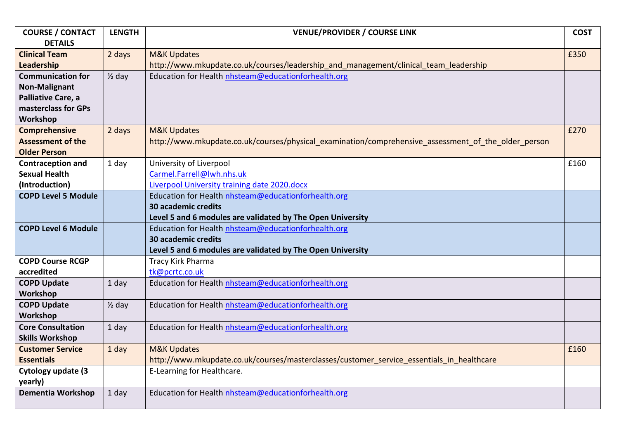| <b>COURSE / CONTACT</b>    | <b>LENGTH</b>     | <b>VENUE/PROVIDER / COURSE LINK</b>                                                                 | <b>COST</b> |
|----------------------------|-------------------|-----------------------------------------------------------------------------------------------------|-------------|
| <b>DETAILS</b>             |                   |                                                                                                     |             |
| <b>Clinical Team</b>       | 2 days            | <b>M&amp;K Updates</b>                                                                              | £350        |
| Leadership                 |                   | http://www.mkupdate.co.uk/courses/leadership and management/clinical team leadership                |             |
| <b>Communication for</b>   | $\frac{1}{2}$ day | Education for Health nhsteam@educationforhealth.org                                                 |             |
| <b>Non-Malignant</b>       |                   |                                                                                                     |             |
| Palliative Care, a         |                   |                                                                                                     |             |
| masterclass for GPs        |                   |                                                                                                     |             |
| Workshop                   |                   |                                                                                                     |             |
| Comprehensive              | 2 days            | <b>M&amp;K Updates</b>                                                                              | £270        |
| <b>Assessment of the</b>   |                   | http://www.mkupdate.co.uk/courses/physical examination/comprehensive assessment of the older person |             |
| <b>Older Person</b>        |                   |                                                                                                     |             |
| <b>Contraception and</b>   | 1 day             | University of Liverpool                                                                             | £160        |
| <b>Sexual Health</b>       |                   | Carmel.Farrell@lwh.nhs.uk                                                                           |             |
| (Introduction)             |                   | Liverpool University training date 2020.docx                                                        |             |
| <b>COPD Level 5 Module</b> |                   | Education for Health nhsteam@educationforhealth.org                                                 |             |
|                            |                   | 30 academic credits                                                                                 |             |
|                            |                   | Level 5 and 6 modules are validated by The Open University                                          |             |
| <b>COPD Level 6 Module</b> |                   | Education for Health nhsteam@educationforhealth.org                                                 |             |
|                            |                   | <b>30 academic credits</b>                                                                          |             |
|                            |                   | Level 5 and 6 modules are validated by The Open University                                          |             |
| <b>COPD Course RCGP</b>    |                   | Tracy Kirk Pharma                                                                                   |             |
| accredited                 |                   | tk@pcrtc.co.uk                                                                                      |             |
| <b>COPD Update</b>         | 1 day             | Education for Health nhsteam@educationforhealth.org                                                 |             |
| Workshop                   |                   |                                                                                                     |             |
| <b>COPD Update</b>         | $\frac{1}{2}$ day | Education for Health nhsteam@educationforhealth.org                                                 |             |
| Workshop                   |                   |                                                                                                     |             |
| <b>Core Consultation</b>   | 1 day             | Education for Health nhsteam@educationforhealth.org                                                 |             |
| <b>Skills Workshop</b>     |                   |                                                                                                     |             |
| <b>Customer Service</b>    | 1 day             | <b>M&amp;K Updates</b>                                                                              | £160        |
| <b>Essentials</b>          |                   | http://www.mkupdate.co.uk/courses/masterclasses/customer service essentials in healthcare           |             |
| Cytology update (3         |                   | E-Learning for Healthcare.                                                                          |             |
| yearly)                    |                   |                                                                                                     |             |
| <b>Dementia Workshop</b>   | 1 day             | Education for Health nhsteam@educationforhealth.org                                                 |             |
|                            |                   |                                                                                                     |             |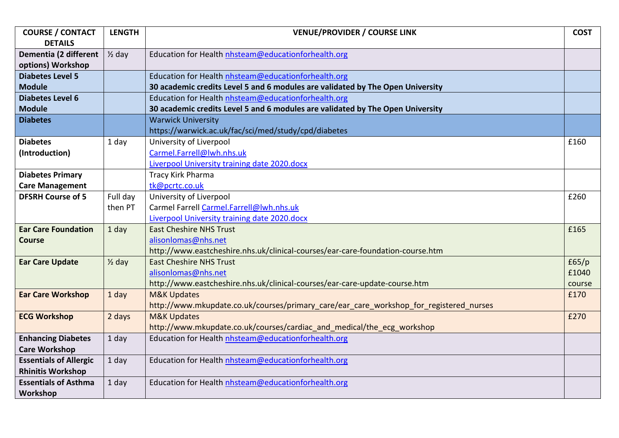| <b>COURSE / CONTACT</b>       | <b>LENGTH</b>     | <b>VENUE/PROVIDER / COURSE LINK</b>                                                    | <b>COST</b> |
|-------------------------------|-------------------|----------------------------------------------------------------------------------------|-------------|
| <b>DETAILS</b>                |                   |                                                                                        |             |
| Dementia (2 different         | $\frac{1}{2}$ day | Education for Health nhsteam@educationforhealth.org                                    |             |
| options) Workshop             |                   |                                                                                        |             |
| <b>Diabetes Level 5</b>       |                   | Education for Health nhsteam@educationforhealth.org                                    |             |
| <b>Module</b>                 |                   | 30 academic credits Level 5 and 6 modules are validated by The Open University         |             |
| <b>Diabetes Level 6</b>       |                   | Education for Health nhsteam@educationforhealth.org                                    |             |
| <b>Module</b>                 |                   | 30 academic credits Level 5 and 6 modules are validated by The Open University         |             |
| <b>Diabetes</b>               |                   | <b>Warwick University</b>                                                              |             |
|                               |                   | https://warwick.ac.uk/fac/sci/med/study/cpd/diabetes                                   |             |
| <b>Diabetes</b>               | 1 day             | University of Liverpool                                                                | £160        |
| (Introduction)                |                   | Carmel.Farrell@lwh.nhs.uk                                                              |             |
|                               |                   | Liverpool University training date 2020.docx                                           |             |
| <b>Diabetes Primary</b>       |                   | Tracy Kirk Pharma                                                                      |             |
| <b>Care Management</b>        |                   | tk@pcrtc.co.uk                                                                         |             |
| <b>DFSRH Course of 5</b>      | Full day          | University of Liverpool                                                                | £260        |
|                               | then PT           | Carmel Farrell Carmel.Farrell@lwh.nhs.uk                                               |             |
|                               |                   | Liverpool University training date 2020.docx                                           |             |
| <b>Ear Care Foundation</b>    | 1 day             | <b>East Cheshire NHS Trust</b>                                                         | £165        |
| <b>Course</b>                 |                   | alisonlomas@nhs.net                                                                    |             |
|                               |                   | http://www.eastcheshire.nhs.uk/clinical-courses/ear-care-foundation-course.htm         |             |
| <b>Ear Care Update</b>        | $\frac{1}{2}$ day | <b>East Cheshire NHS Trust</b>                                                         | f65/p       |
|                               |                   | alisonlomas@nhs.net                                                                    | £1040       |
|                               |                   | http://www.eastcheshire.nhs.uk/clinical-courses/ear-care-update-course.htm             | course      |
| <b>Ear Care Workshop</b>      | 1 day             | <b>M&amp;K Updates</b>                                                                 | £170        |
|                               |                   | http://www.mkupdate.co.uk/courses/primary_care/ear_care_workshop_for_registered_nurses |             |
| <b>ECG Workshop</b>           | 2 days            | <b>M&amp;K Updates</b>                                                                 | £270        |
|                               |                   | http://www.mkupdate.co.uk/courses/cardiac and medical/the ecg workshop                 |             |
| <b>Enhancing Diabetes</b>     | 1 day             | Education for Health nhsteam@educationforhealth.org                                    |             |
| <b>Care Workshop</b>          |                   |                                                                                        |             |
| <b>Essentials of Allergic</b> | 1 day             | Education for Health nhsteam@educationforhealth.org                                    |             |
| <b>Rhinitis Workshop</b>      |                   |                                                                                        |             |
| <b>Essentials of Asthma</b>   | 1 day             | Education for Health nhsteam@educationforhealth.org                                    |             |
| Workshop                      |                   |                                                                                        |             |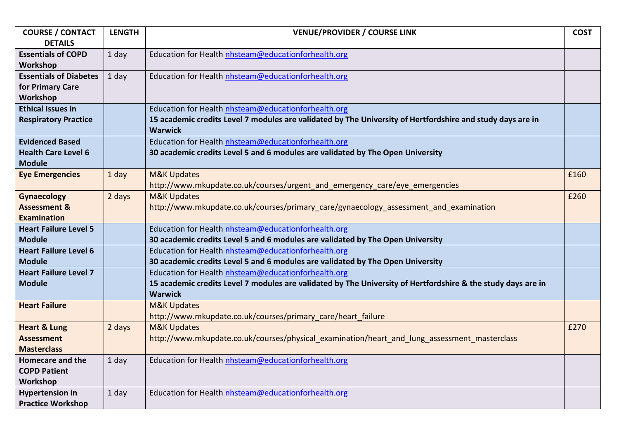| <b>COURSE / CONTACT</b>       | <b>LENGTH</b> | <b>VENUE/PROVIDER / COURSE LINK</b>                                                                          | <b>COST</b> |
|-------------------------------|---------------|--------------------------------------------------------------------------------------------------------------|-------------|
| <b>DETAILS</b>                |               |                                                                                                              |             |
| <b>Essentials of COPD</b>     | 1 day         | Education for Health nhsteam@educationforhealth.org                                                          |             |
| Workshop                      |               |                                                                                                              |             |
| <b>Essentials of Diabetes</b> | 1 day         | Education for Health nhsteam@educationforhealth.org                                                          |             |
| for Primary Care              |               |                                                                                                              |             |
| Workshop                      |               |                                                                                                              |             |
| <b>Ethical Issues in</b>      |               | Education for Health nhsteam@educationforhealth.org                                                          |             |
| <b>Respiratory Practice</b>   |               | 15 academic credits Level 7 modules are validated by The University of Hertfordshire and study days are in   |             |
|                               |               | <b>Warwick</b>                                                                                               |             |
| <b>Evidenced Based</b>        |               | Education for Health nhsteam@educationforhealth.org                                                          |             |
| <b>Health Care Level 6</b>    |               | 30 academic credits Level 5 and 6 modules are validated by The Open University                               |             |
| <b>Module</b>                 |               |                                                                                                              |             |
| <b>Eye Emergencies</b>        | 1 day         | <b>M&amp;K Updates</b>                                                                                       | £160        |
|                               |               | http://www.mkupdate.co.uk/courses/urgent_and_emergency_care/eye_emergencies                                  |             |
| <b>Gynaecology</b>            | 2 days        | <b>M&amp;K Updates</b>                                                                                       | £260        |
| <b>Assessment &amp;</b>       |               | http://www.mkupdate.co.uk/courses/primary_care/gynaecology_assessment_and_examination                        |             |
| <b>Examination</b>            |               |                                                                                                              |             |
| <b>Heart Failure Level 5</b>  |               | Education for Health nhsteam@educationforhealth.org                                                          |             |
| <b>Module</b>                 |               | 30 academic credits Level 5 and 6 modules are validated by The Open University                               |             |
| <b>Heart Failure Level 6</b>  |               | Education for Health nhsteam@educationforhealth.org                                                          |             |
| <b>Module</b>                 |               | 30 academic credits Level 5 and 6 modules are validated by The Open University                               |             |
| <b>Heart Failure Level 7</b>  |               | Education for Health nhsteam@educationforhealth.org                                                          |             |
| <b>Module</b>                 |               | 15 academic credits Level 7 modules are validated by The University of Hertfordshire & the study days are in |             |
|                               |               | <b>Warwick</b>                                                                                               |             |
| <b>Heart Failure</b>          |               | <b>M&amp;K Updates</b>                                                                                       |             |
|                               |               | http://www.mkupdate.co.uk/courses/primary_care/heart_failure                                                 |             |
| <b>Heart &amp; Lung</b>       | 2 days        | <b>M&amp;K Updates</b>                                                                                       | £270        |
| <b>Assessment</b>             |               | http://www.mkupdate.co.uk/courses/physical examination/heart and lung assessment masterclass                 |             |
| <b>Masterclass</b>            |               |                                                                                                              |             |
| <b>Homecare and the</b>       | 1 day         | Education for Health nhsteam@educationforhealth.org                                                          |             |
| <b>COPD Patient</b>           |               |                                                                                                              |             |
| Workshop                      |               |                                                                                                              |             |
| <b>Hypertension in</b>        | 1 day         | Education for Health nhsteam@educationforhealth.org                                                          |             |
| <b>Practice Workshop</b>      |               |                                                                                                              |             |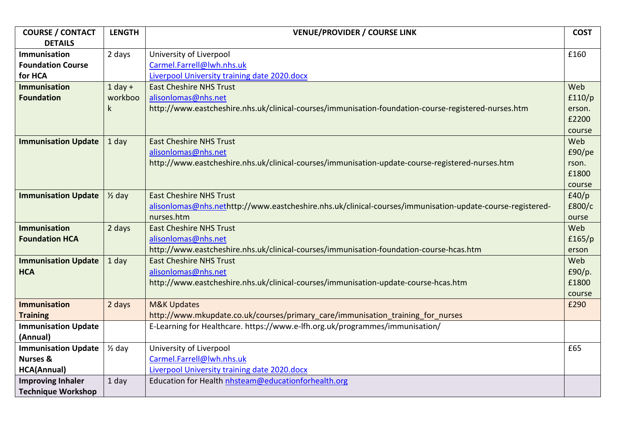| <b>COURSE / CONTACT</b>    | <b>LENGTH</b>     | <b>VENUE/PROVIDER / COURSE LINK</b>                                                                       | <b>COST</b> |
|----------------------------|-------------------|-----------------------------------------------------------------------------------------------------------|-------------|
| <b>DETAILS</b>             |                   |                                                                                                           |             |
| <b>Immunisation</b>        | 2 days            | University of Liverpool                                                                                   | £160        |
| <b>Foundation Course</b>   |                   | Carmel.Farrell@lwh.nhs.uk                                                                                 |             |
| for HCA                    |                   | Liverpool University training date 2020.docx                                                              |             |
| <b>Immunisation</b>        | $1$ day +         | <b>East Cheshire NHS Trust</b>                                                                            | Web         |
| <b>Foundation</b>          | workboo           | alisonlomas@nhs.net                                                                                       | f110/p      |
|                            | k                 | http://www.eastcheshire.nhs.uk/clinical-courses/immunisation-foundation-course-registered-nurses.htm      | erson.      |
|                            |                   |                                                                                                           | £2200       |
|                            |                   |                                                                                                           | course      |
| <b>Immunisation Update</b> | 1 day             | <b>East Cheshire NHS Trust</b>                                                                            | Web         |
|                            |                   | alisonlomas@nhs.net                                                                                       | £90/pe      |
|                            |                   | http://www.eastcheshire.nhs.uk/clinical-courses/immunisation-update-course-registered-nurses.htm          | rson.       |
|                            |                   |                                                                                                           | £1800       |
|                            |                   |                                                                                                           | course      |
| <b>Immunisation Update</b> | $\frac{1}{2}$ day | <b>East Cheshire NHS Trust</b>                                                                            | f40/p       |
|                            |                   | alisonlomas@nhs.nethttp://www.eastcheshire.nhs.uk/clinical-courses/immunisation-update-course-registered- | £800/c      |
|                            |                   | nurses.htm                                                                                                | ourse       |
| <b>Immunisation</b>        | 2 days            | <b>East Cheshire NHS Trust</b>                                                                            | Web         |
| <b>Foundation HCA</b>      |                   | alisonlomas@nhs.net                                                                                       | f165/p      |
|                            |                   | http://www.eastcheshire.nhs.uk/clinical-courses/immunisation-foundation-course-hcas.htm                   | erson       |
| <b>Immunisation Update</b> | 1 day             | <b>East Cheshire NHS Trust</b>                                                                            | Web         |
| <b>HCA</b>                 |                   | alisonlomas@nhs.net                                                                                       | £90/p.      |
|                            |                   | http://www.eastcheshire.nhs.uk/clinical-courses/immunisation-update-course-hcas.htm                       | £1800       |
|                            |                   |                                                                                                           | course      |
| <b>Immunisation</b>        | 2 days            | <b>M&amp;K Updates</b>                                                                                    | £290        |
| <b>Training</b>            |                   | http://www.mkupdate.co.uk/courses/primary care/immunisation training for nurses                           |             |
| <b>Immunisation Update</b> |                   | E-Learning for Healthcare. https://www.e-lfh.org.uk/programmes/immunisation/                              |             |
| (Annual)                   |                   |                                                                                                           |             |
| <b>Immunisation Update</b> | $\frac{1}{2}$ day | University of Liverpool                                                                                   | £65         |
| <b>Nurses &amp;</b>        |                   | Carmel.Farrell@lwh.nhs.uk                                                                                 |             |
| <b>HCA(Annual)</b>         |                   | Liverpool University training date 2020.docx                                                              |             |
| <b>Improving Inhaler</b>   | 1 day             | Education for Health nhsteam@educationforhealth.org                                                       |             |
| <b>Technique Workshop</b>  |                   |                                                                                                           |             |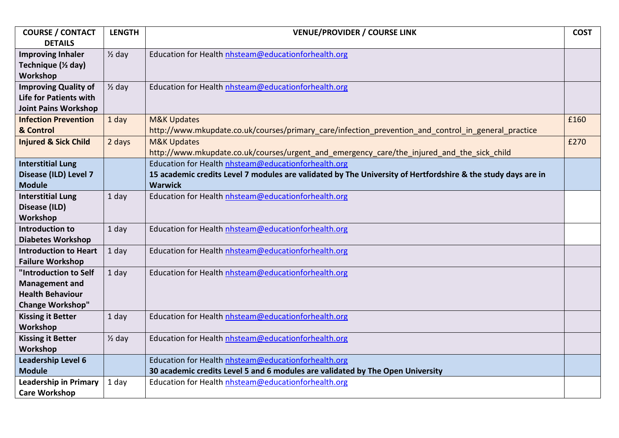| <b>COURSE / CONTACT</b>         | <b>LENGTH</b>     | <b>VENUE/PROVIDER / COURSE LINK</b>                                                                          | <b>COST</b> |
|---------------------------------|-------------------|--------------------------------------------------------------------------------------------------------------|-------------|
| <b>DETAILS</b>                  |                   |                                                                                                              |             |
| <b>Improving Inhaler</b>        | $\frac{1}{2}$ day | Education for Health nhsteam@educationforhealth.org                                                          |             |
| Technique (1/2 day)             |                   |                                                                                                              |             |
| Workshop                        |                   |                                                                                                              |             |
| <b>Improving Quality of</b>     | $\frac{1}{2}$ day | Education for Health nhsteam@educationforhealth.org                                                          |             |
| <b>Life for Patients with</b>   |                   |                                                                                                              |             |
| <b>Joint Pains Workshop</b>     |                   |                                                                                                              |             |
| <b>Infection Prevention</b>     | 1 day             | <b>M&amp;K Updates</b>                                                                                       | £160        |
| & Control                       |                   | http://www.mkupdate.co.uk/courses/primary_care/infection_prevention_and_control_in_general_practice          |             |
| <b>Injured &amp; Sick Child</b> | 2 days            | <b>M&amp;K Updates</b>                                                                                       | £270        |
|                                 |                   | http://www.mkupdate.co.uk/courses/urgent_and_emergency_care/the_injured_and_the_sick_child                   |             |
| <b>Interstitial Lung</b>        |                   | Education for Health nhsteam@educationforhealth.org                                                          |             |
| Disease (ILD) Level 7           |                   | 15 academic credits Level 7 modules are validated by The University of Hertfordshire & the study days are in |             |
| <b>Module</b>                   |                   | <b>Warwick</b>                                                                                               |             |
| <b>Interstitial Lung</b>        | 1 day             | Education for Health nhsteam@educationforhealth.org                                                          |             |
| Disease (ILD)                   |                   |                                                                                                              |             |
| Workshop                        |                   |                                                                                                              |             |
| <b>Introduction to</b>          | 1 day             | Education for Health nhsteam@educationforhealth.org                                                          |             |
| <b>Diabetes Workshop</b>        |                   |                                                                                                              |             |
| <b>Introduction to Heart</b>    | 1 day             | Education for Health nhsteam@educationforhealth.org                                                          |             |
| <b>Failure Workshop</b>         |                   |                                                                                                              |             |
| "Introduction to Self           | 1 day             | Education for Health nhsteam@educationforhealth.org                                                          |             |
| <b>Management and</b>           |                   |                                                                                                              |             |
| <b>Health Behaviour</b>         |                   |                                                                                                              |             |
| <b>Change Workshop"</b>         |                   |                                                                                                              |             |
| <b>Kissing it Better</b>        | 1 day             | Education for Health nhsteam@educationforhealth.org                                                          |             |
| Workshop                        |                   |                                                                                                              |             |
| <b>Kissing it Better</b>        | $\frac{1}{2}$ day | Education for Health nhsteam@educationforhealth.org                                                          |             |
| Workshop                        |                   |                                                                                                              |             |
| <b>Leadership Level 6</b>       |                   | Education for Health nhsteam@educationforhealth.org                                                          |             |
| <b>Module</b>                   |                   | 30 academic credits Level 5 and 6 modules are validated by The Open University                               |             |
| <b>Leadership in Primary</b>    | 1 day             | Education for Health nhsteam@educationforhealth.org                                                          |             |
| <b>Care Workshop</b>            |                   |                                                                                                              |             |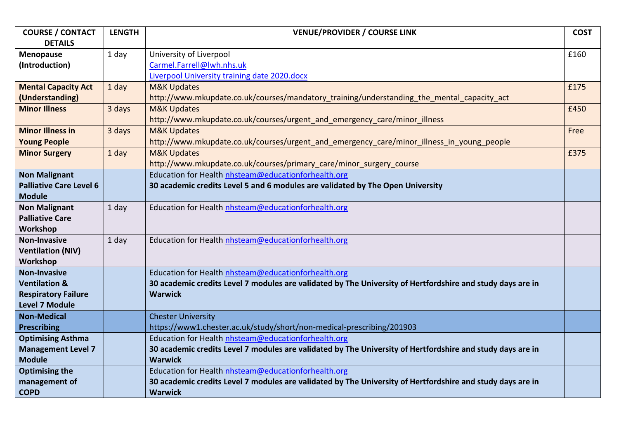| <b>COURSE / CONTACT</b>        | <b>LENGTH</b> | <b>VENUE/PROVIDER / COURSE LINK</b>                                                                        | <b>COST</b> |
|--------------------------------|---------------|------------------------------------------------------------------------------------------------------------|-------------|
| <b>DETAILS</b>                 |               |                                                                                                            |             |
| <b>Menopause</b>               | 1 day         | University of Liverpool                                                                                    | £160        |
| (Introduction)                 |               | Carmel.Farrell@lwh.nhs.uk                                                                                  |             |
|                                |               | Liverpool University training date 2020.docx                                                               |             |
| <b>Mental Capacity Act</b>     | 1 day         | <b>M&amp;K Updates</b>                                                                                     | £175        |
| (Understanding)                |               | http://www.mkupdate.co.uk/courses/mandatory training/understanding the mental capacity act                 |             |
| <b>Minor Illness</b>           | 3 days        | <b>M&amp;K Updates</b>                                                                                     | £450        |
|                                |               | http://www.mkupdate.co.uk/courses/urgent_and_emergency_care/minor_illness                                  |             |
| <b>Minor Illness in</b>        | 3 days        | <b>M&amp;K Updates</b>                                                                                     | Free        |
| <b>Young People</b>            |               | http://www.mkupdate.co.uk/courses/urgent_and_emergency_care/minor_illness_in_young_people                  |             |
| <b>Minor Surgery</b>           | 1 day         | <b>M&amp;K Updates</b>                                                                                     | £375        |
|                                |               | http://www.mkupdate.co.uk/courses/primary_care/minor_surgery_course                                        |             |
| <b>Non Malignant</b>           |               | Education for Health nhsteam@educationforhealth.org                                                        |             |
| <b>Palliative Care Level 6</b> |               | 30 academic credits Level 5 and 6 modules are validated by The Open University                             |             |
| <b>Module</b>                  |               |                                                                                                            |             |
| <b>Non Malignant</b>           | 1 day         | Education for Health nhsteam@educationforhealth.org                                                        |             |
| <b>Palliative Care</b>         |               |                                                                                                            |             |
| Workshop                       |               |                                                                                                            |             |
| <b>Non-Invasive</b>            | 1 day         | Education for Health nhsteam@educationforhealth.org                                                        |             |
| <b>Ventilation (NIV)</b>       |               |                                                                                                            |             |
| Workshop                       |               |                                                                                                            |             |
| <b>Non-Invasive</b>            |               | Education for Health nhsteam@educationforhealth.org                                                        |             |
| <b>Ventilation &amp;</b>       |               | 30 academic credits Level 7 modules are validated by The University of Hertfordshire and study days are in |             |
| <b>Respiratory Failure</b>     |               | <b>Warwick</b>                                                                                             |             |
| <b>Level 7 Module</b>          |               |                                                                                                            |             |
| <b>Non-Medical</b>             |               | <b>Chester University</b>                                                                                  |             |
| <b>Prescribing</b>             |               | https://www1.chester.ac.uk/study/short/non-medical-prescribing/201903                                      |             |
| <b>Optimising Asthma</b>       |               | Education for Health nhsteam@educationforhealth.org                                                        |             |
| <b>Management Level 7</b>      |               | 30 academic credits Level 7 modules are validated by The University of Hertfordshire and study days are in |             |
| <b>Module</b>                  |               | <b>Warwick</b>                                                                                             |             |
| <b>Optimising the</b>          |               | Education for Health nhsteam@educationforhealth.org                                                        |             |
| management of                  |               | 30 academic credits Level 7 modules are validated by The University of Hertfordshire and study days are in |             |
| <b>COPD</b>                    |               | <b>Warwick</b>                                                                                             |             |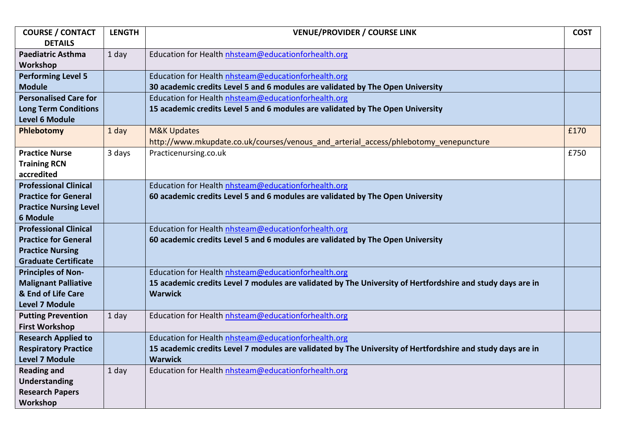| <b>COURSE / CONTACT</b>       | <b>LENGTH</b> | <b>VENUE/PROVIDER / COURSE LINK</b>                                                                        | <b>COST</b> |
|-------------------------------|---------------|------------------------------------------------------------------------------------------------------------|-------------|
| <b>DETAILS</b>                |               |                                                                                                            |             |
| <b>Paediatric Asthma</b>      | 1 day         | Education for Health nhsteam@educationforhealth.org                                                        |             |
| Workshop                      |               |                                                                                                            |             |
| <b>Performing Level 5</b>     |               | Education for Health nhsteam@educationforhealth.org                                                        |             |
| <b>Module</b>                 |               | 30 academic credits Level 5 and 6 modules are validated by The Open University                             |             |
| <b>Personalised Care for</b>  |               | Education for Health nhsteam@educationforhealth.org                                                        |             |
| <b>Long Term Conditions</b>   |               | 15 academic credits Level 5 and 6 modules are validated by The Open University                             |             |
| <b>Level 6 Module</b>         |               |                                                                                                            |             |
| Phlebotomy                    | 1 day         | <b>M&amp;K Updates</b>                                                                                     | £170        |
|                               |               | http://www.mkupdate.co.uk/courses/venous and arterial access/phlebotomy venepuncture                       |             |
| <b>Practice Nurse</b>         | 3 days        | Practicenursing.co.uk                                                                                      | £750        |
| <b>Training RCN</b>           |               |                                                                                                            |             |
| accredited                    |               |                                                                                                            |             |
| <b>Professional Clinical</b>  |               | Education for Health nhsteam@educationforhealth.org                                                        |             |
| <b>Practice for General</b>   |               | 60 academic credits Level 5 and 6 modules are validated by The Open University                             |             |
| <b>Practice Nursing Level</b> |               |                                                                                                            |             |
| <b>6 Module</b>               |               |                                                                                                            |             |
| <b>Professional Clinical</b>  |               | Education for Health nhsteam@educationforhealth.org                                                        |             |
| <b>Practice for General</b>   |               | 60 academic credits Level 5 and 6 modules are validated by The Open University                             |             |
| <b>Practice Nursing</b>       |               |                                                                                                            |             |
| <b>Graduate Certificate</b>   |               |                                                                                                            |             |
| <b>Principles of Non-</b>     |               | Education for Health nhsteam@educationforhealth.org                                                        |             |
| <b>Malignant Palliative</b>   |               | 15 academic credits Level 7 modules are validated by The University of Hertfordshire and study days are in |             |
| & End of Life Care            |               | <b>Warwick</b>                                                                                             |             |
| <b>Level 7 Module</b>         |               |                                                                                                            |             |
| <b>Putting Prevention</b>     | 1 day         | Education for Health nhsteam@educationforhealth.org                                                        |             |
| <b>First Workshop</b>         |               |                                                                                                            |             |
| <b>Research Applied to</b>    |               | Education for Health nhsteam@educationforhealth.org                                                        |             |
| <b>Respiratory Practice</b>   |               | 15 academic credits Level 7 modules are validated by The University of Hertfordshire and study days are in |             |
| <b>Level 7 Module</b>         |               | <b>Warwick</b>                                                                                             |             |
| <b>Reading and</b>            | 1 day         | Education for Health nhsteam@educationforhealth.org                                                        |             |
| <b>Understanding</b>          |               |                                                                                                            |             |
| <b>Research Papers</b>        |               |                                                                                                            |             |
| Workshop                      |               |                                                                                                            |             |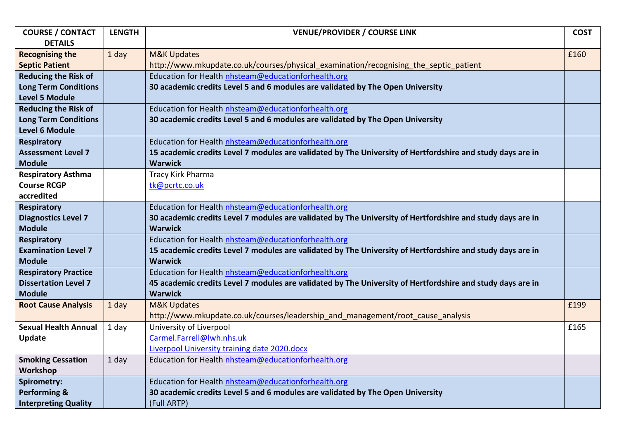| <b>COURSE / CONTACT</b>     | <b>LENGTH</b> | <b>VENUE/PROVIDER / COURSE LINK</b>                                                                        | <b>COST</b> |
|-----------------------------|---------------|------------------------------------------------------------------------------------------------------------|-------------|
| <b>DETAILS</b>              |               |                                                                                                            |             |
| <b>Recognising the</b>      | 1 day         | <b>M&amp;K Updates</b>                                                                                     | £160        |
| <b>Septic Patient</b>       |               | http://www.mkupdate.co.uk/courses/physical examination/recognising the septic patient                      |             |
| <b>Reducing the Risk of</b> |               | Education for Health nhsteam@educationforhealth.org                                                        |             |
| <b>Long Term Conditions</b> |               | 30 academic credits Level 5 and 6 modules are validated by The Open University                             |             |
| <b>Level 5 Module</b>       |               |                                                                                                            |             |
| <b>Reducing the Risk of</b> |               | Education for Health nhsteam@educationforhealth.org                                                        |             |
| <b>Long Term Conditions</b> |               | 30 academic credits Level 5 and 6 modules are validated by The Open University                             |             |
| <b>Level 6 Module</b>       |               |                                                                                                            |             |
| <b>Respiratory</b>          |               | Education for Health nhsteam@educationforhealth.org                                                        |             |
| <b>Assessment Level 7</b>   |               | 15 academic credits Level 7 modules are validated by The University of Hertfordshire and study days are in |             |
| <b>Module</b>               |               | <b>Warwick</b>                                                                                             |             |
| <b>Respiratory Asthma</b>   |               | Tracy Kirk Pharma                                                                                          |             |
| <b>Course RCGP</b>          |               | tk@pcrtc.co.uk                                                                                             |             |
| accredited                  |               |                                                                                                            |             |
| <b>Respiratory</b>          |               | Education for Health nhsteam@educationforhealth.org                                                        |             |
| <b>Diagnostics Level 7</b>  |               | 30 academic credits Level 7 modules are validated by The University of Hertfordshire and study days are in |             |
| <b>Module</b>               |               | <b>Warwick</b>                                                                                             |             |
| <b>Respiratory</b>          |               | Education for Health nhsteam@educationforhealth.org                                                        |             |
| <b>Examination Level 7</b>  |               | 15 academic credits Level 7 modules are validated by The University of Hertfordshire and study days are in |             |
| <b>Module</b>               |               | <b>Warwick</b>                                                                                             |             |
| <b>Respiratory Practice</b> |               | Education for Health nhsteam@educationforhealth.org                                                        |             |
| <b>Dissertation Level 7</b> |               | 45 academic credits Level 7 modules are validated by The University of Hertfordshire and study days are in |             |
| <b>Module</b>               |               | <b>Warwick</b>                                                                                             |             |
| <b>Root Cause Analysis</b>  | 1 day         | <b>M&amp;K Updates</b>                                                                                     | £199        |
|                             |               | http://www.mkupdate.co.uk/courses/leadership_and_management/root_cause_analysis                            |             |
| <b>Sexual Health Annual</b> | 1 day         | University of Liverpool                                                                                    | £165        |
| <b>Update</b>               |               | Carmel.Farrell@lwh.nhs.uk                                                                                  |             |
|                             |               | Liverpool University training date 2020.docx                                                               |             |
| <b>Smoking Cessation</b>    | 1 day         | Education for Health nhsteam@educationforhealth.org                                                        |             |
| Workshop                    |               |                                                                                                            |             |
| <b>Spirometry:</b>          |               | Education for Health nhsteam@educationforhealth.org                                                        |             |
| <b>Performing &amp;</b>     |               | 30 academic credits Level 5 and 6 modules are validated by The Open University                             |             |
| <b>Interpreting Quality</b> |               | (Full ARTP)                                                                                                |             |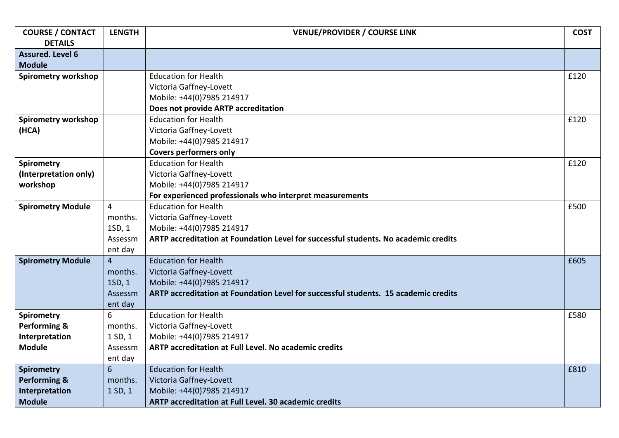| <b>COURSE / CONTACT</b>    | <b>LENGTH</b>  | <b>VENUE/PROVIDER / COURSE LINK</b>                                                 | <b>COST</b> |
|----------------------------|----------------|-------------------------------------------------------------------------------------|-------------|
| <b>DETAILS</b>             |                |                                                                                     |             |
| <b>Assured. Level 6</b>    |                |                                                                                     |             |
| <b>Module</b>              |                |                                                                                     |             |
| <b>Spirometry workshop</b> |                | <b>Education for Health</b>                                                         | £120        |
|                            |                | Victoria Gaffney-Lovett                                                             |             |
|                            |                | Mobile: +44(0)7985 214917                                                           |             |
|                            |                | Does not provide ARTP accreditation                                                 |             |
| <b>Spirometry workshop</b> |                | <b>Education for Health</b>                                                         | £120        |
| (HCA)                      |                | Victoria Gaffney-Lovett                                                             |             |
|                            |                | Mobile: +44(0)7985 214917                                                           |             |
|                            |                | <b>Covers performers only</b>                                                       |             |
| <b>Spirometry</b>          |                | <b>Education for Health</b>                                                         | £120        |
| (Interpretation only)      |                | Victoria Gaffney-Lovett                                                             |             |
| workshop                   |                | Mobile: +44(0)7985 214917                                                           |             |
|                            |                | For experienced professionals who interpret measurements                            |             |
| <b>Spirometry Module</b>   | $\overline{4}$ | <b>Education for Health</b>                                                         | £500        |
|                            | months.        | Victoria Gaffney-Lovett                                                             |             |
|                            | 1SD, 1         | Mobile: +44(0)7985 214917                                                           |             |
|                            | Assessm        | ARTP accreditation at Foundation Level for successful students. No academic credits |             |
|                            | ent day        |                                                                                     |             |
| <b>Spirometry Module</b>   | $\overline{4}$ | <b>Education for Health</b>                                                         | £605        |
|                            | months.        | Victoria Gaffney-Lovett                                                             |             |
|                            | 1SD, 1         | Mobile: +44(0)7985 214917                                                           |             |
|                            | Assessm        | ARTP accreditation at Foundation Level for successful students. 15 academic credits |             |
|                            | ent day        |                                                                                     |             |
| <b>Spirometry</b>          | 6              | <b>Education for Health</b>                                                         | £580        |
| Performing &               | months.        | Victoria Gaffney-Lovett                                                             |             |
| Interpretation             | 1SD, 1         | Mobile: +44(0)7985 214917                                                           |             |
| <b>Module</b>              | Assessm        | ARTP accreditation at Full Level. No academic credits                               |             |
|                            | ent day        |                                                                                     |             |
| <b>Spirometry</b>          | $6\phantom{1}$ | <b>Education for Health</b>                                                         | £810        |
| <b>Performing &amp;</b>    | months.        | Victoria Gaffney-Lovett                                                             |             |
| Interpretation             | 1SD, 1         | Mobile: +44(0)7985 214917                                                           |             |
| <b>Module</b>              |                | <b>ARTP accreditation at Full Level. 30 academic credits</b>                        |             |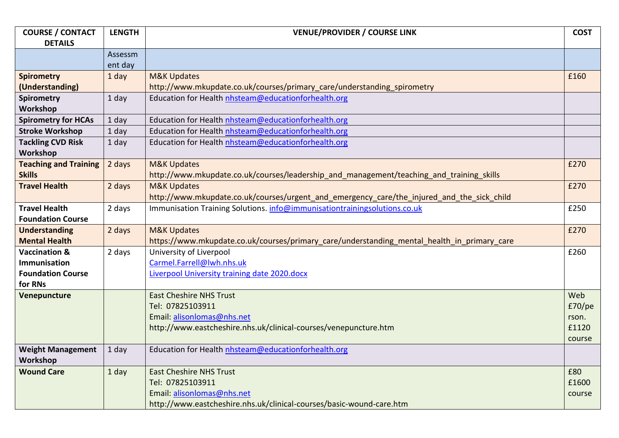| <b>COURSE / CONTACT</b>      | <b>LENGTH</b> | <b>VENUE/PROVIDER / COURSE LINK</b>                                                         | <b>COST</b> |
|------------------------------|---------------|---------------------------------------------------------------------------------------------|-------------|
| <b>DETAILS</b>               |               |                                                                                             |             |
|                              | Assessm       |                                                                                             |             |
|                              | ent day       |                                                                                             |             |
| <b>Spirometry</b>            | 1 day         | <b>M&amp;K Updates</b>                                                                      | £160        |
| (Understanding)              |               | http://www.mkupdate.co.uk/courses/primary_care/understanding_spirometry                     |             |
| <b>Spirometry</b>            | 1 day         | Education for Health nhsteam@educationforhealth.org                                         |             |
| Workshop                     |               |                                                                                             |             |
| <b>Spirometry for HCAs</b>   | 1 day         | Education for Health nhsteam@educationforhealth.org                                         |             |
| <b>Stroke Workshop</b>       | 1 day         | Education for Health nhsteam@educationforhealth.org                                         |             |
| <b>Tackling CVD Risk</b>     | 1 day         | Education for Health nhsteam@educationforhealth.org                                         |             |
| Workshop                     |               |                                                                                             |             |
| <b>Teaching and Training</b> | 2 days        | <b>M&amp;K Updates</b>                                                                      | £270        |
| <b>Skills</b>                |               | http://www.mkupdate.co.uk/courses/leadership_and_management/teaching_and_training_skills    |             |
| <b>Travel Health</b>         | 2 days        | <b>M&amp;K Updates</b>                                                                      | £270        |
|                              |               | http://www.mkupdate.co.uk/courses/urgent_and_emergency_care/the_injured_and_the_sick_child  |             |
| <b>Travel Health</b>         | 2 days        | Immunisation Training Solutions. info@immunisationtrainingsolutions.co.uk                   | £250        |
| <b>Foundation Course</b>     |               |                                                                                             |             |
| <b>Understanding</b>         | 2 days        | <b>M&amp;K Updates</b>                                                                      | £270        |
| <b>Mental Health</b>         |               | https://www.mkupdate.co.uk/courses/primary care/understanding mental health in primary care |             |
| <b>Vaccination &amp;</b>     | 2 days        | University of Liverpool                                                                     | £260        |
| Immunisation                 |               | Carmel.Farrell@lwh.nhs.uk                                                                   |             |
| <b>Foundation Course</b>     |               | Liverpool University training date 2020.docx                                                |             |
| for RNs                      |               |                                                                                             |             |
| Venepuncture                 |               | <b>East Cheshire NHS Trust</b>                                                              | Web         |
|                              |               | Tel: 07825103911                                                                            | E70/pe      |
|                              |               | Email: alisonlomas@nhs.net                                                                  | rson.       |
|                              |               | http://www.eastcheshire.nhs.uk/clinical-courses/venepuncture.htm                            | £1120       |
|                              |               |                                                                                             | course      |
| <b>Weight Management</b>     | 1 day         | Education for Health nhsteam@educationforhealth.org                                         |             |
| Workshop                     |               |                                                                                             |             |
| <b>Wound Care</b>            | 1 day         | <b>East Cheshire NHS Trust</b>                                                              | £80         |
|                              |               | Tel: 07825103911                                                                            | £1600       |
|                              |               | Email: alisonlomas@nhs.net                                                                  | course      |
|                              |               | http://www.eastcheshire.nhs.uk/clinical-courses/basic-wound-care.htm                        |             |